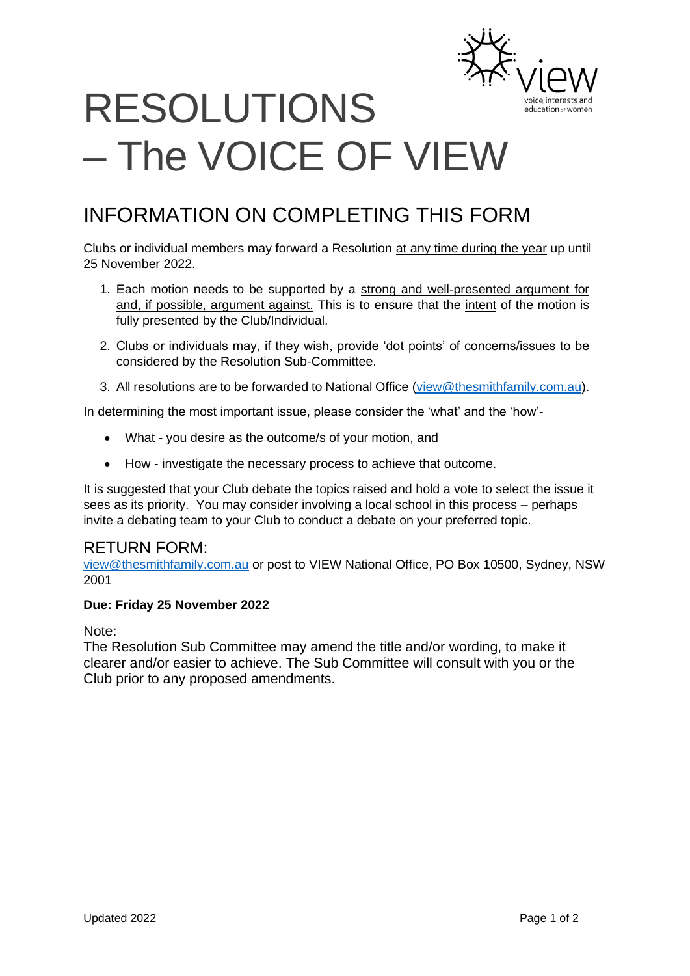

# RESOLUTIONS – The VOICE OF VIEW

# INFORMATION ON COMPLETING THIS FORM

Clubs or individual members may forward a Resolution at any time during the year up until 25 November 2022.

- 1. Each motion needs to be supported by a strong and well-presented argument for and, if possible, argument against. This is to ensure that the intent of the motion is fully presented by the Club/Individual.
- 2. Clubs or individuals may, if they wish, provide 'dot points' of concerns/issues to be considered by the Resolution Sub-Committee.
- 3. All resolutions are to be forwarded to National Office [\(view@thesmithfamily.com.au\)](mailto:view@thesmithfamily.com.au).

In determining the most important issue, please consider the 'what' and the 'how'-

- What you desire as the outcome/s of your motion, and
- How investigate the necessary process to achieve that outcome.

It is suggested that your Club debate the topics raised and hold a vote to select the issue it sees as its priority. You may consider involving a local school in this process – perhaps invite a debating team to your Club to conduct a debate on your preferred topic.

#### RETURN FORM:

[view@thesmithfamily.com.au](mailto:view@thesmithfamily.com.au) or post to VIEW National Office, PO Box 10500, Sydney, NSW 2001

#### **Due: Friday 25 November 2022**

Note:

The Resolution Sub Committee may amend the title and/or wording, to make it clearer and/or easier to achieve. The Sub Committee will consult with you or the Club prior to any proposed amendments.